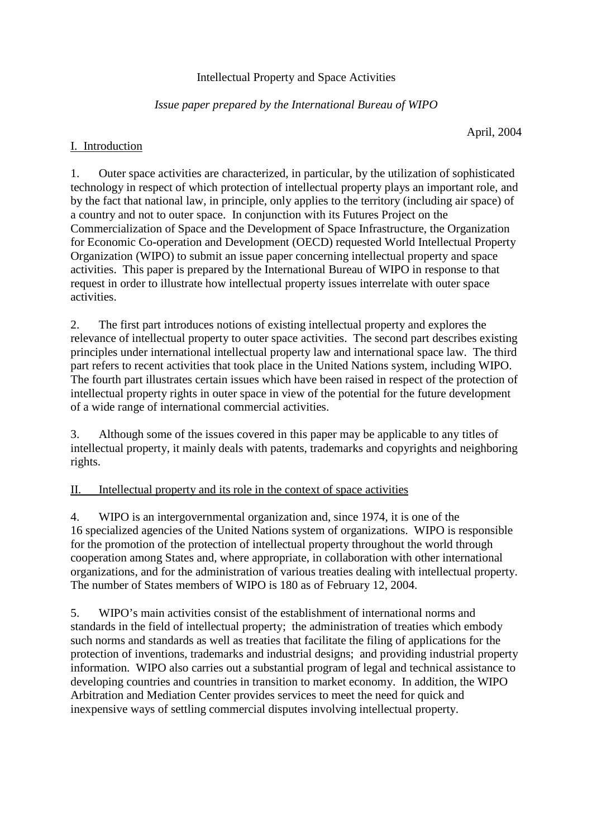## Intellectual Property and Space Activities

## *Issue paper prepared by the International Bureau of WIPO*

April, 2004

### I. Introduction

1. Outer space activities are characterized, in particular, by the utilization of sophisticated technology in respect of which protection of intellectual property plays an important role, and by the fact that national law, in principle, only applies to the territory (including air space) of a country and not to outer space. In conjunction with its Futures Project on the Commercialization of Space and the Development of Space Infrastructure, the Organization for Economic Co-operation and Development (OECD) requested World Intellectual Property Organization (WIPO) to submit an issue paper concerning intellectual property and space activities. This paper is prepared by the International Bureau of WIPO in response to that request in order to illustrate how intellectual property issues interrelate with outer space activities.

2. The first part introduces notions of existing intellectual property and explores the relevance of intellectual property to outer space activities. The second part describes existing principles under international intellectual property law and international space law. The third part refers to recent activities that took place in the United Nations system, including WIPO. The fourth part illustrates certain issues which have been raised in respect of the protection of intellectual property rights in outer space in view of the potential for the future development of a wide range of international commercial activities.

3. Although some of the issues covered in this paper may be applicable to any titles of intellectual property, it mainly deals with patents, trademarks and copyrights and neighboring rights.

### II. Intellectual property and its role in the context of space activities

4. WIPO is an intergovernmental organization and, since 1974, it is one of the 16 specialized agencies of the United Nations system of organizations. WIPO is responsible for the promotion of the protection of intellectual property throughout the world through cooperation among States and, where appropriate, in collaboration with other international organizations, and for the administration of various treaties dealing with intellectual property. The number of States members of WIPO is 180 as of February 12, 2004.

5. WIPO's main activities consist of the establishment of international norms and standards in the field of intellectual property; the administration of treaties which embody such norms and standards as well as treaties that facilitate the filing of applications for the protection of inventions, trademarks and industrial designs; and providing industrial property information. WIPO also carries out a substantial program of legal and technical assistance to developing countries and countries in transition to market economy. In addition, the WIPO Arbitration and Mediation Center provides services to meet the need for quick and inexpensive ways of settling commercial disputes involving intellectual property.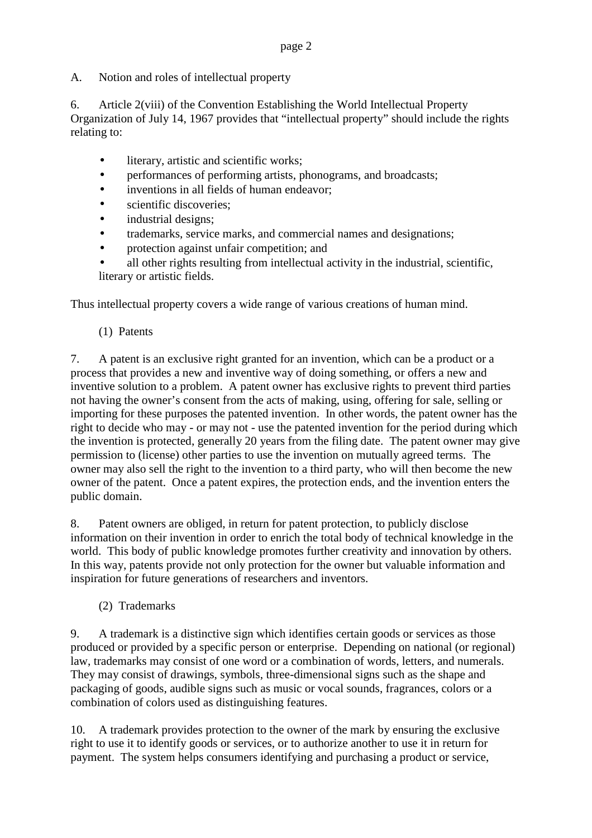A. Notion and roles of intellectual property

6. Article 2(viii) of the Convention Establishing the World Intellectual Property Organization of July 14, 1967 provides that "intellectual property" should include the rights relating to:

- literary, artistic and scientific works;
- performances of performing artists, phonograms, and broadcasts;
- inventions in all fields of human endeavor;
- scientific discoveries;
- industrial designs;
- trademarks, service marks, and commercial names and designations;
- protection against unfair competition; and
- all other rights resulting from intellectual activity in the industrial, scientific, literary or artistic fields.

Thus intellectual property covers a wide range of various creations of human mind.

(1) Patents

7. A patent is an exclusive right granted for an invention, which can be a product or a process that provides a new and inventive way of doing something, or offers a new and inventive solution to a problem. A patent owner has exclusive rights to prevent third parties not having the owner's consent from the acts of making, using, offering for sale, selling or importing for these purposes the patented invention. In other words, the patent owner has the right to decide who may - or may not - use the patented invention for the period during which the invention is protected, generally 20 years from the filing date. The patent owner may give permission to (license) other parties to use the invention on mutually agreed terms. The owner may also sell the right to the invention to a third party, who will then become the new owner of the patent. Once a patent expires, the protection ends, and the invention enters the public domain.

8. Patent owners are obliged, in return for patent protection, to publicly disclose information on their invention in order to enrich the total body of technical knowledge in the world. This body of public knowledge promotes further creativity and innovation by others. In this way, patents provide not only protection for the owner but valuable information and inspiration for future generations of researchers and inventors.

(2) Trademarks

9. A trademark is a distinctive sign which identifies certain goods or services as those produced or provided by a specific person or enterprise. Depending on national (or regional) law, trademarks may consist of one word or a combination of words, letters, and numerals. They may consist of drawings, symbols, three-dimensional signs such as the shape and packaging of goods, audible signs such as music or vocal sounds, fragrances, colors or a combination of colors used as distinguishing features.

10. A trademark provides protection to the owner of the mark by ensuring the exclusive right to use it to identify goods or services, or to authorize another to use it in return for payment. The system helps consumers identifying and purchasing a product or service,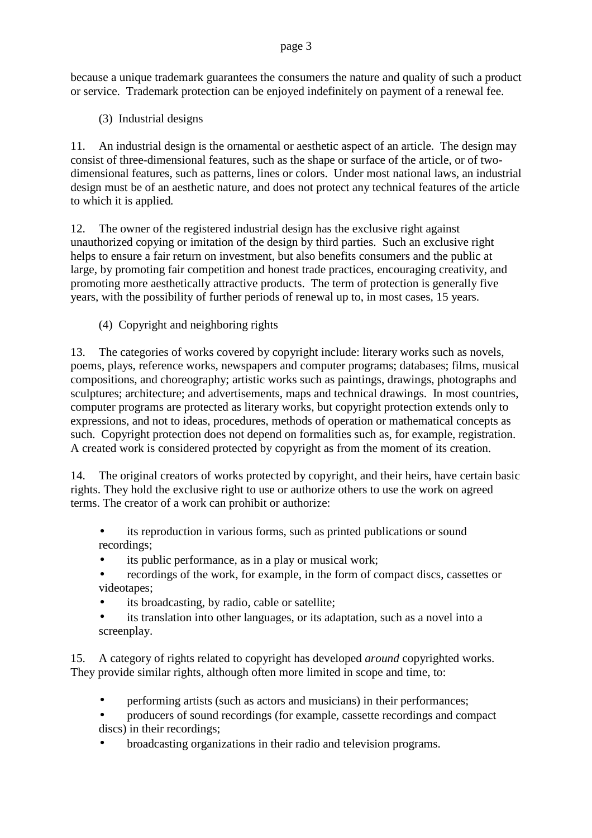because a unique trademark guarantees the consumers the nature and quality of such a product or service. Trademark protection can be enjoyed indefinitely on payment of a renewal fee.

(3) Industrial designs

11. An industrial design is the ornamental or aesthetic aspect of an article. The design may consist of three-dimensional features, such as the shape or surface of the article, or of twodimensional features, such as patterns, lines or colors. Under most national laws, an industrial design must be of an aesthetic nature, and does not protect any technical features of the article to which it is applied*.*

12. The owner of the registered industrial design has the exclusive right against unauthorized copying or imitation of the design by third parties. Such an exclusive right helps to ensure a fair return on investment, but also benefits consumers and the public at large, by promoting fair competition and honest trade practices, encouraging creativity, and promoting more aesthetically attractive products. The term of protection is generally five years, with the possibility of further periods of renewal up to, in most cases, 15 years.

(4) Copyright and neighboring rights

13. The categories of works covered by copyright include: literary works such as novels, poems, plays, reference works, newspapers and computer programs; databases; films, musical compositions, and choreography; artistic works such as paintings, drawings, photographs and sculptures; architecture; and advertisements, maps and technical drawings. In most countries, computer programs are protected as literary works, but copyright protection extends only to expressions, and not to ideas, procedures, methods of operation or mathematical concepts as such. Copyright protection does not depend on formalities such as, for example, registration. A created work is considered protected by copyright as from the moment of its creation.

14. The original creators of works protected by copyright, and their heirs, have certain basic rights. They hold the exclusive right to use or authorize others to use the work on agreed terms. The creator of a work can prohibit or authorize:

- its reproduction in various forms, such as printed publications or sound recordings;
- its public performance, as in a play or musical work;
- recordings of the work, for example, in the form of compact discs, cassettes or videotapes;
- its broadcasting, by radio, cable or satellite;
- its translation into other languages, or its adaptation, such as a novel into a screenplay.

15. A category of rights related to copyright has developed *around* copyrighted works. They provide similar rights, although often more limited in scope and time, to:

- performing artists (such as actors and musicians) in their performances;
- producers of sound recordings (for example, cassette recordings and compact discs) in their recordings;
- broadcasting organizations in their radio and television programs.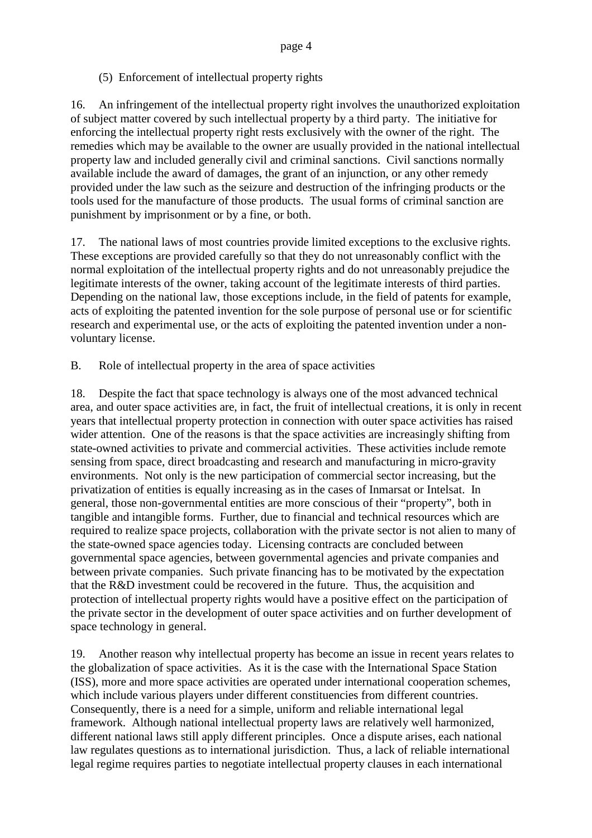## (5) Enforcement of intellectual property rights

16. An infringement of the intellectual property right involves the unauthorized exploitation of subject matter covered by such intellectual property by a third party. The initiative for enforcing the intellectual property right rests exclusively with the owner of the right. The remedies which may be available to the owner are usually provided in the national intellectual property law and included generally civil and criminal sanctions. Civil sanctions normally available include the award of damages, the grant of an injunction, or any other remedy provided under the law such as the seizure and destruction of the infringing products or the tools used for the manufacture of those products. The usual forms of criminal sanction are punishment by imprisonment or by a fine, or both.

17. The national laws of most countries provide limited exceptions to the exclusive rights. These exceptions are provided carefully so that they do not unreasonably conflict with the normal exploitation of the intellectual property rights and do not unreasonably prejudice the legitimate interests of the owner, taking account of the legitimate interests of third parties. Depending on the national law, those exceptions include, in the field of patents for example, acts of exploiting the patented invention for the sole purpose of personal use or for scientific research and experimental use, or the acts of exploiting the patented invention under a nonvoluntary license.

B. Role of intellectual property in the area of space activities

18. Despite the fact that space technology is always one of the most advanced technical area, and outer space activities are, in fact, the fruit of intellectual creations, it is only in recent years that intellectual property protection in connection with outer space activities has raised wider attention. One of the reasons is that the space activities are increasingly shifting from state-owned activities to private and commercial activities. These activities include remote sensing from space, direct broadcasting and research and manufacturing in micro-gravity environments. Not only is the new participation of commercial sector increasing, but the privatization of entities is equally increasing as in the cases of Inmarsat or Intelsat. In general, those non-governmental entities are more conscious of their "property", both in tangible and intangible forms. Further, due to financial and technical resources which are required to realize space projects, collaboration with the private sector is not alien to many of the state-owned space agencies today. Licensing contracts are concluded between governmental space agencies, between governmental agencies and private companies and between private companies. Such private financing has to be motivated by the expectation that the R&D investment could be recovered in the future. Thus, the acquisition and protection of intellectual property rights would have a positive effect on the participation of the private sector in the development of outer space activities and on further development of space technology in general.

19. Another reason why intellectual property has become an issue in recent years relates to the globalization of space activities. As it is the case with the International Space Station (ISS), more and more space activities are operated under international cooperation schemes, which include various players under different constituencies from different countries. Consequently, there is a need for a simple, uniform and reliable international legal framework. Although national intellectual property laws are relatively well harmonized, different national laws still apply different principles. Once a dispute arises, each national law regulates questions as to international jurisdiction. Thus, a lack of reliable international legal regime requires parties to negotiate intellectual property clauses in each international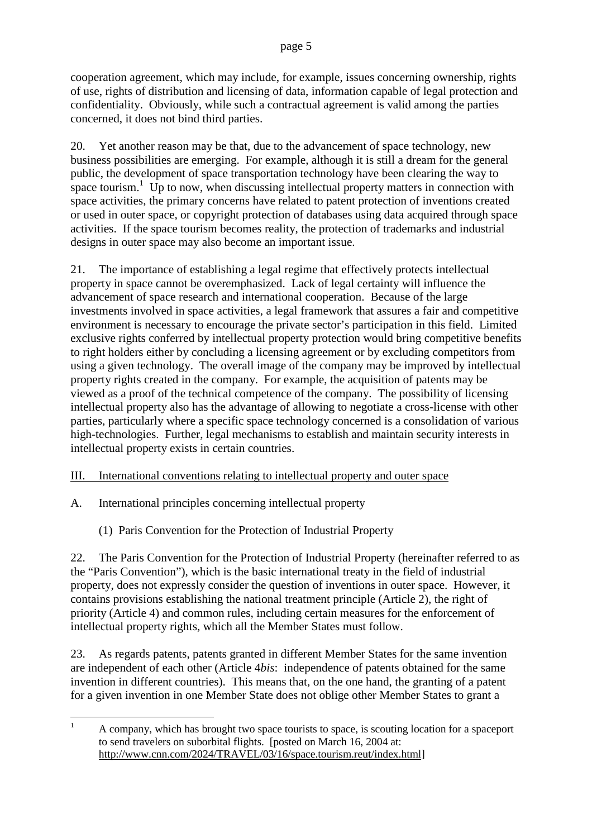cooperation agreement, which may include, for example, issues concerning ownership, rights of use, rights of distribution and licensing of data, information capable of legal protection and confidentiality. Obviously, while such a contractual agreement is valid among the parties concerned, it does not bind third parties.

20. Yet another reason may be that, due to the advancement of space technology, new business possibilities are emerging. For example, although it is still a dream for the general public, the development of space transportation technology have been clearing the way to space tourism.<sup>1</sup> Up to now, when discussing intellectual property matters in connection with space activities, the primary concerns have related to patent protection of inventions created or used in outer space, or copyright protection of databases using data acquired through space activities. If the space tourism becomes reality, the protection of trademarks and industrial designs in outer space may also become an important issue.

21. The importance of establishing a legal regime that effectively protects intellectual property in space cannot be overemphasized. Lack of legal certainty will influence the advancement of space research and international cooperation. Because of the large investments involved in space activities, a legal framework that assures a fair and competitive environment is necessary to encourage the private sector's participation in this field. Limited exclusive rights conferred by intellectual property protection would bring competitive benefits to right holders either by concluding a licensing agreement or by excluding competitors from using a given technology. The overall image of the company may be improved by intellectual property rights created in the company. For example, the acquisition of patents may be viewed as a proof of the technical competence of the company. The possibility of licensing intellectual property also has the advantage of allowing to negotiate a cross-license with other parties, particularly where a specific space technology concerned is a consolidation of various high-technologies. Further, legal mechanisms to establish and maintain security interests in intellectual property exists in certain countries.

# III. International conventions relating to intellectual property and outer space

- A. International principles concerning intellectual property
	- (1) Paris Convention for the Protection of Industrial Property

22. The Paris Convention for the Protection of Industrial Property (hereinafter referred to as the "Paris Convention"), which is the basic international treaty in the field of industrial property, does not expressly consider the question of inventions in outer space. However, it contains provisions establishing the national treatment principle (Article 2), the right of priority (Article 4) and common rules, including certain measures for the enforcement of intellectual property rights, which all the Member States must follow.

23. As regards patents, patents granted in different Member States for the same invention are independent of each other (Article 4*bis*: independence of patents obtained for the same invention in different countries). This means that, on the one hand, the granting of a patent for a given invention in one Member State does not oblige other Member States to grant a

 $1 - A$  company, which has brought two space tourists to space, is scouting location for a spaceport to send travelers on suborbital flights. [posted on March 16, 2004 at: http://www.cnn.com/2024/TRAVEL/03/16/space.tourism.reut/index.html]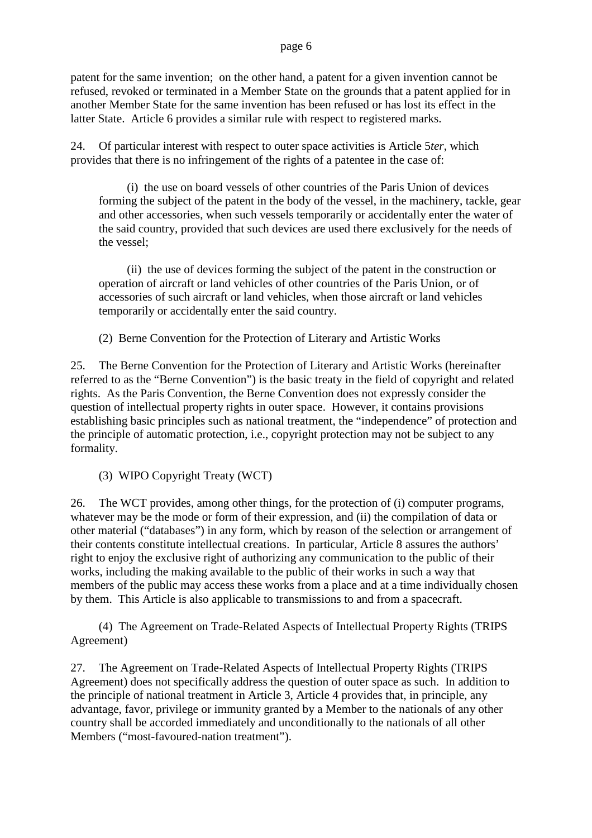patent for the same invention; on the other hand, a patent for a given invention cannot be refused, revoked or terminated in a Member State on the grounds that a patent applied for in another Member State for the same invention has been refused or has lost its effect in the latter State. Article 6 provides a similar rule with respect to registered marks.

24. Of particular interest with respect to outer space activities is Article 5*ter*, which provides that there is no infringement of the rights of a patentee in the case of:

(i) the use on board vessels of other countries of the Paris Union of devices forming the subject of the patent in the body of the vessel, in the machinery, tackle, gear and other accessories, when such vessels temporarily or accidentally enter the water of the said country, provided that such devices are used there exclusively for the needs of the vessel;

(ii) the use of devices forming the subject of the patent in the construction or operation of aircraft or land vehicles of other countries of the Paris Union, or of accessories of such aircraft or land vehicles, when those aircraft or land vehicles temporarily or accidentally enter the said country.

(2) Berne Convention for the Protection of Literary and Artistic Works

25. The Berne Convention for the Protection of Literary and Artistic Works (hereinafter referred to as the "Berne Convention") is the basic treaty in the field of copyright and related rights. As the Paris Convention, the Berne Convention does not expressly consider the question of intellectual property rights in outer space. However, it contains provisions establishing basic principles such as national treatment, the "independence" of protection and the principle of automatic protection, i.e., copyright protection may not be subject to any formality.

(3) WIPO Copyright Treaty (WCT)

26. The WCT provides, among other things, for the protection of (i) computer programs, whatever may be the mode or form of their expression, and (ii) the compilation of data or other material ("databases") in any form, which by reason of the selection or arrangement of their contents constitute intellectual creations. In particular, Article 8 assures the authors' right to enjoy the exclusive right of authorizing any communication to the public of their works, including the making available to the public of their works in such a way that members of the public may access these works from a place and at a time individually chosen by them. This Article is also applicable to transmissions to and from a spacecraft.

(4) The Agreement on Trade-Related Aspects of Intellectual Property Rights (TRIPS Agreement)

27. The Agreement on Trade-Related Aspects of Intellectual Property Rights (TRIPS Agreement) does not specifically address the question of outer space as such. In addition to the principle of national treatment in Article 3, Article 4 provides that, in principle, any advantage, favor, privilege or immunity granted by a Member to the nationals of any other country shall be accorded immediately and unconditionally to the nationals of all other Members ("most-favoured-nation treatment").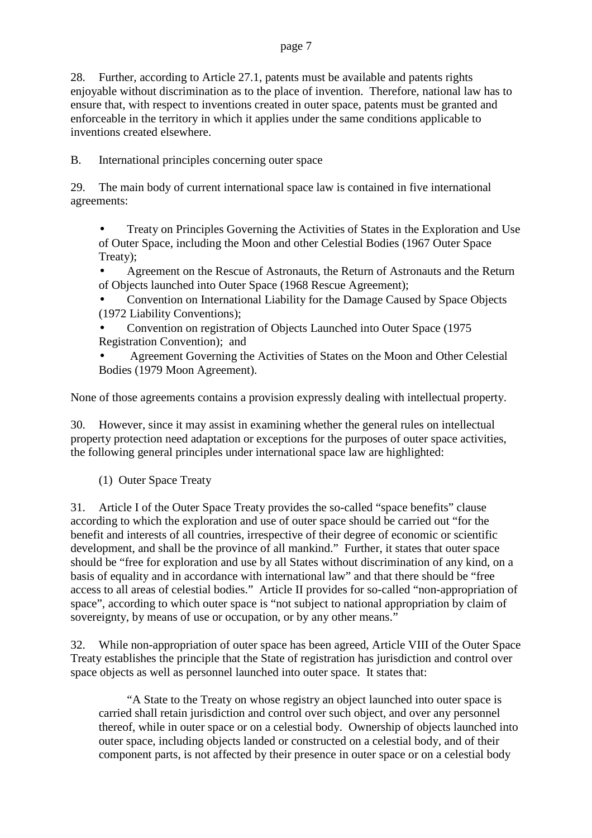28. Further, according to Article 27.1, patents must be available and patents rights enjoyable without discrimination as to the place of invention. Therefore, national law has to ensure that, with respect to inventions created in outer space, patents must be granted and enforceable in the territory in which it applies under the same conditions applicable to inventions created elsewhere.

B. International principles concerning outer space

29. The main body of current international space law is contained in five international agreements:

• Treaty on Principles Governing the Activities of States in the Exploration and Use of Outer Space, including the Moon and other Celestial Bodies (1967 Outer Space Treaty);

• Agreement on the Rescue of Astronauts, the Return of Astronauts and the Return of Objects launched into Outer Space (1968 Rescue Agreement);

• Convention on International Liability for the Damage Caused by Space Objects (1972 Liability Conventions);

• Convention on registration of Objects Launched into Outer Space (1975 Registration Convention); and

• Agreement Governing the Activities of States on the Moon and Other Celestial Bodies (1979 Moon Agreement).

None of those agreements contains a provision expressly dealing with intellectual property.

30. However, since it may assist in examining whether the general rules on intellectual property protection need adaptation or exceptions for the purposes of outer space activities, the following general principles under international space law are highlighted:

(1) Outer Space Treaty

31. Article I of the Outer Space Treaty provides the so-called "space benefits" clause according to which the exploration and use of outer space should be carried out "for the benefit and interests of all countries, irrespective of their degree of economic or scientific development, and shall be the province of all mankind." Further, it states that outer space should be "free for exploration and use by all States without discrimination of any kind, on a basis of equality and in accordance with international law" and that there should be "free access to all areas of celestial bodies." Article II provides for so-called "non-appropriation of space", according to which outer space is "not subject to national appropriation by claim of sovereignty, by means of use or occupation, or by any other means."

32. While non-appropriation of outer space has been agreed, Article VIII of the Outer Space Treaty establishes the principle that the State of registration has jurisdiction and control over space objects as well as personnel launched into outer space. It states that:

"A State to the Treaty on whose registry an object launched into outer space is carried shall retain jurisdiction and control over such object, and over any personnel thereof, while in outer space or on a celestial body. Ownership of objects launched into outer space, including objects landed or constructed on a celestial body, and of their component parts, is not affected by their presence in outer space or on a celestial body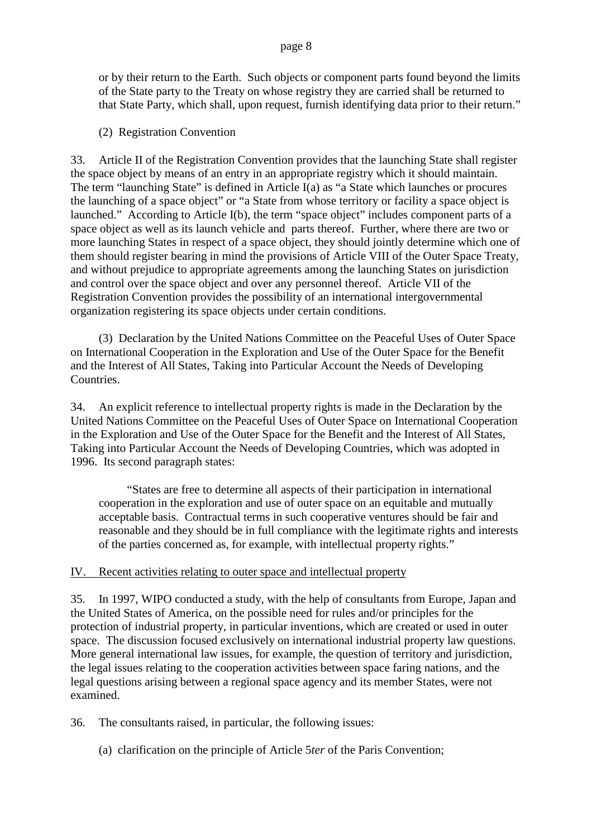or by their return to the Earth. Such objects or component parts found beyond the limits of the State party to the Treaty on whose registry they are carried shall be returned to that State Party, which shall, upon request, furnish identifying data prior to their return."

(2) Registration Convention

33. Article II of the Registration Convention provides that the launching State shall register the space object by means of an entry in an appropriate registry which it should maintain. The term "launching State" is defined in Article I(a) as "a State which launches or procures the launching of a space object" or "a State from whose territory or facility a space object is launched." According to Article I(b), the term "space object" includes component parts of a space object as well as its launch vehicle and parts thereof. Further, where there are two or more launching States in respect of a space object, they should jointly determine which one of them should register bearing in mind the provisions of Article VIII of the Outer Space Treaty, and without prejudice to appropriate agreements among the launching States on jurisdiction and control over the space object and over any personnel thereof. Article VII of the Registration Convention provides the possibility of an international intergovernmental organization registering its space objects under certain conditions.

(3) Declaration by the United Nations Committee on the Peaceful Uses of Outer Space on International Cooperation in the Exploration and Use of the Outer Space for the Benefit and the Interest of All States, Taking into Particular Account the Needs of Developing Countries.

34. An explicit reference to intellectual property rights is made in the Declaration by the United Nations Committee on the Peaceful Uses of Outer Space on International Cooperation in the Exploration and Use of the Outer Space for the Benefit and the Interest of All States, Taking into Particular Account the Needs of Developing Countries, which was adopted in 1996. Its second paragraph states:

"States are free to determine all aspects of their participation in international cooperation in the exploration and use of outer space on an equitable and mutually acceptable basis. Contractual terms in such cooperative ventures should be fair and reasonable and they should be in full compliance with the legitimate rights and interests of the parties concerned as, for example, with intellectual property rights."

# IV. Recent activities relating to outer space and intellectual property

35. In 1997, WIPO conducted a study, with the help of consultants from Europe, Japan and the United States of America, on the possible need for rules and/or principles for the protection of industrial property, in particular inventions, which are created or used in outer space. The discussion focused exclusively on international industrial property law questions. More general international law issues, for example, the question of territory and jurisdiction, the legal issues relating to the cooperation activities between space faring nations, and the legal questions arising between a regional space agency and its member States, were not examined.

36. The consultants raised, in particular, the following issues:

(a) clarification on the principle of Article 5*ter* of the Paris Convention;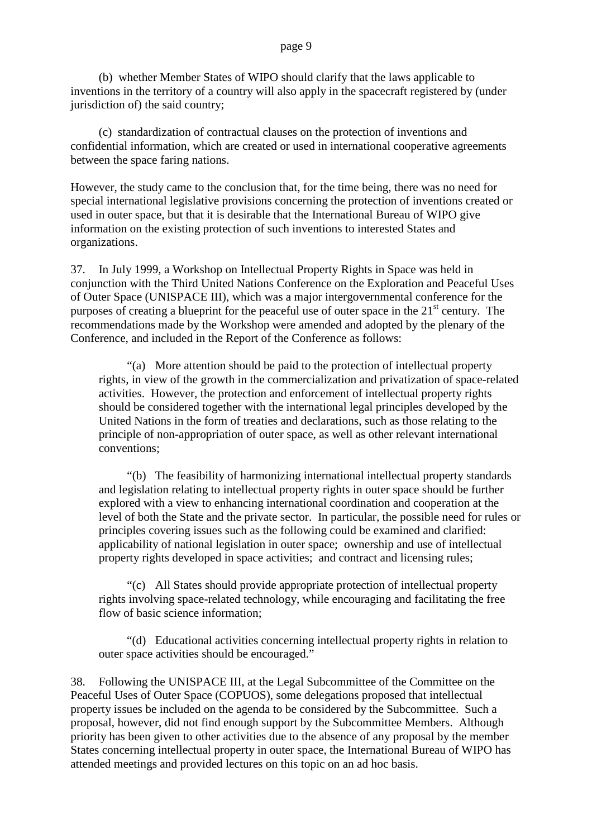(b) whether Member States of WIPO should clarify that the laws applicable to inventions in the territory of a country will also apply in the spacecraft registered by (under jurisdiction of) the said country;

(c) standardization of contractual clauses on the protection of inventions and confidential information, which are created or used in international cooperative agreements between the space faring nations.

However, the study came to the conclusion that, for the time being, there was no need for special international legislative provisions concerning the protection of inventions created or used in outer space, but that it is desirable that the International Bureau of WIPO give information on the existing protection of such inventions to interested States and organizations.

37. In July 1999, a Workshop on Intellectual Property Rights in Space was held in conjunction with the Third United Nations Conference on the Exploration and Peaceful Uses of Outer Space (UNISPACE III), which was a major intergovernmental conference for the purposes of creating a blueprint for the peaceful use of outer space in the  $21<sup>st</sup>$  century. The recommendations made by the Workshop were amended and adopted by the plenary of the Conference, and included in the Report of the Conference as follows:

"(a) More attention should be paid to the protection of intellectual property rights, in view of the growth in the commercialization and privatization of space-related activities. However, the protection and enforcement of intellectual property rights should be considered together with the international legal principles developed by the United Nations in the form of treaties and declarations, such as those relating to the principle of non-appropriation of outer space, as well as other relevant international conventions;

"(b) The feasibility of harmonizing international intellectual property standards and legislation relating to intellectual property rights in outer space should be further explored with a view to enhancing international coordination and cooperation at the level of both the State and the private sector. In particular, the possible need for rules or principles covering issues such as the following could be examined and clarified: applicability of national legislation in outer space; ownership and use of intellectual property rights developed in space activities; and contract and licensing rules;

"(c) All States should provide appropriate protection of intellectual property rights involving space-related technology, while encouraging and facilitating the free flow of basic science information;

"(d) Educational activities concerning intellectual property rights in relation to outer space activities should be encouraged."

38. Following the UNISPACE III, at the Legal Subcommittee of the Committee on the Peaceful Uses of Outer Space (COPUOS), some delegations proposed that intellectual property issues be included on the agenda to be considered by the Subcommittee. Such a proposal, however, did not find enough support by the Subcommittee Members. Although priority has been given to other activities due to the absence of any proposal by the member States concerning intellectual property in outer space, the International Bureau of WIPO has attended meetings and provided lectures on this topic on an ad hoc basis.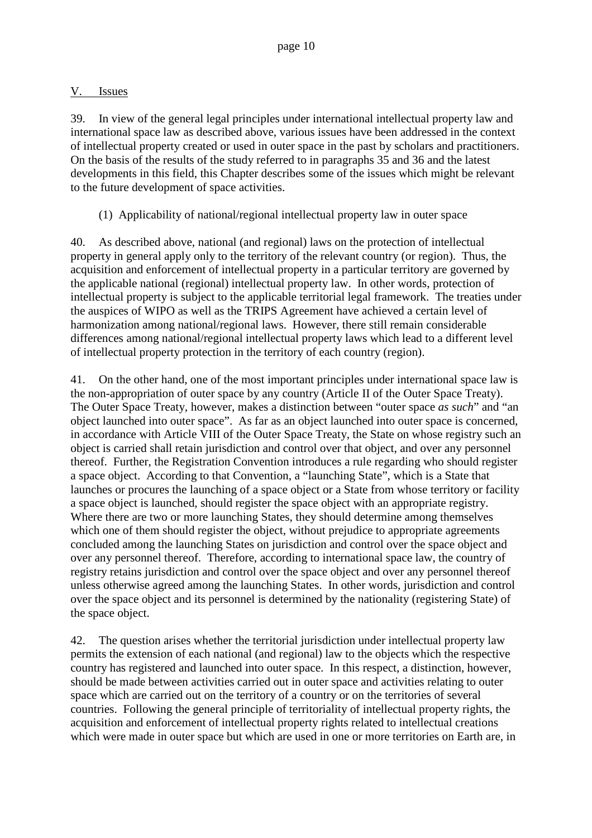## V. Issues

39. In view of the general legal principles under international intellectual property law and international space law as described above, various issues have been addressed in the context of intellectual property created or used in outer space in the past by scholars and practitioners. On the basis of the results of the study referred to in paragraphs 35 and 36 and the latest developments in this field, this Chapter describes some of the issues which might be relevant to the future development of space activities.

(1) Applicability of national/regional intellectual property law in outer space

40. As described above, national (and regional) laws on the protection of intellectual property in general apply only to the territory of the relevant country (or region). Thus, the acquisition and enforcement of intellectual property in a particular territory are governed by the applicable national (regional) intellectual property law. In other words, protection of intellectual property is subject to the applicable territorial legal framework. The treaties under the auspices of WIPO as well as the TRIPS Agreement have achieved a certain level of harmonization among national/regional laws. However, there still remain considerable differences among national/regional intellectual property laws which lead to a different level of intellectual property protection in the territory of each country (region).

41. On the other hand, one of the most important principles under international space law is the non-appropriation of outer space by any country (Article II of the Outer Space Treaty). The Outer Space Treaty, however, makes a distinction between "outer space *as such*" and "an object launched into outer space". As far as an object launched into outer space is concerned, in accordance with Article VIII of the Outer Space Treaty, the State on whose registry such an object is carried shall retain jurisdiction and control over that object, and over any personnel thereof. Further, the Registration Convention introduces a rule regarding who should register a space object. According to that Convention, a "launching State", which is a State that launches or procures the launching of a space object or a State from whose territory or facility a space object is launched, should register the space object with an appropriate registry. Where there are two or more launching States, they should determine among themselves which one of them should register the object, without prejudice to appropriate agreements concluded among the launching States on jurisdiction and control over the space object and over any personnel thereof. Therefore, according to international space law, the country of registry retains jurisdiction and control over the space object and over any personnel thereof unless otherwise agreed among the launching States. In other words, jurisdiction and control over the space object and its personnel is determined by the nationality (registering State) of the space object.

42. The question arises whether the territorial jurisdiction under intellectual property law permits the extension of each national (and regional) law to the objects which the respective country has registered and launched into outer space. In this respect, a distinction, however, should be made between activities carried out in outer space and activities relating to outer space which are carried out on the territory of a country or on the territories of several countries. Following the general principle of territoriality of intellectual property rights, the acquisition and enforcement of intellectual property rights related to intellectual creations which were made in outer space but which are used in one or more territories on Earth are, in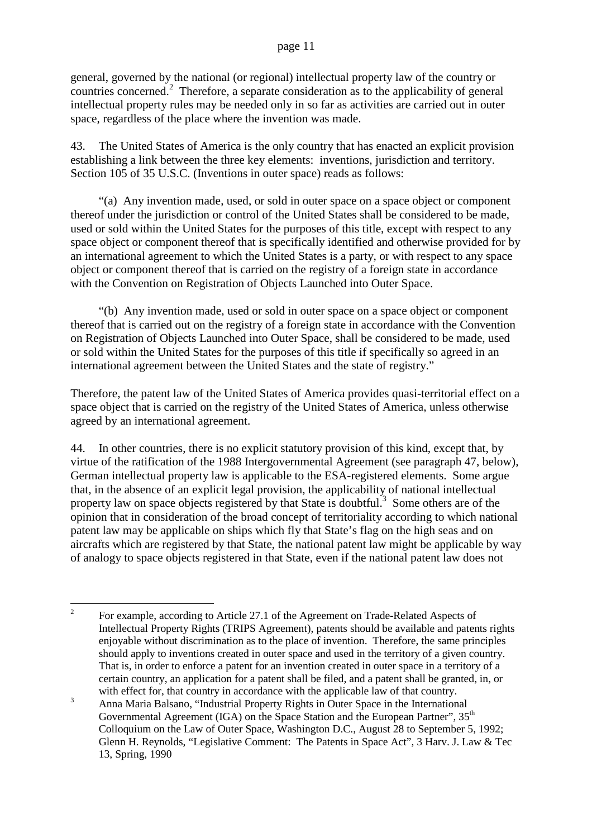general, governed by the national (or regional) intellectual property law of the country or countries concerned.<sup>2</sup> Therefore, a separate consideration as to the applicability of general intellectual property rules may be needed only in so far as activities are carried out in outer space, regardless of the place where the invention was made.

43. The United States of America is the only country that has enacted an explicit provision establishing a link between the three key elements: inventions, jurisdiction and territory. Section 105 of 35 U.S.C. (Inventions in outer space) reads as follows:

"(a) Any invention made, used, or sold in outer space on a space object or component thereof under the jurisdiction or control of the United States shall be considered to be made, used or sold within the United States for the purposes of this title, except with respect to any space object or component thereof that is specifically identified and otherwise provided for by an international agreement to which the United States is a party, or with respect to any space object or component thereof that is carried on the registry of a foreign state in accordance with the Convention on Registration of Objects Launched into Outer Space.

"(b) Any invention made, used or sold in outer space on a space object or component thereof that is carried out on the registry of a foreign state in accordance with the Convention on Registration of Objects Launched into Outer Space, shall be considered to be made, used or sold within the United States for the purposes of this title if specifically so agreed in an international agreement between the United States and the state of registry."

Therefore, the patent law of the United States of America provides quasi-territorial effect on a space object that is carried on the registry of the United States of America, unless otherwise agreed by an international agreement.

44. In other countries, there is no explicit statutory provision of this kind, except that, by virtue of the ratification of the 1988 Intergovernmental Agreement (see paragraph 47, below), German intellectual property law is applicable to the ESA-registered elements. Some argue that, in the absence of an explicit legal provision, the applicability of national intellectual property law on space objects registered by that State is doubtful.<sup>3</sup> Some others are of the opinion that in consideration of the broad concept of territoriality according to which national patent law may be applicable on ships which fly that State's flag on the high seas and on aircrafts which are registered by that State, the national patent law might be applicable by way of analogy to space objects registered in that State, even if the national patent law does not

<sup>&</sup>lt;sup>2</sup> For example, according to Article 27.1 of the Agreement on Trade-Related Aspects of Intellectual Property Rights (TRIPS Agreement), patents should be available and patents rights enjoyable without discrimination as to the place of invention. Therefore, the same principles should apply to inventions created in outer space and used in the territory of a given country. That is, in order to enforce a patent for an invention created in outer space in a territory of a certain country, an application for a patent shall be filed, and a patent shall be granted, in, or with effect for, that country in accordance with the applicable law of that country.

<sup>&</sup>lt;sup>3</sup> Anna Maria Balsano, "Industrial Property Rights in Outer Space in the International Governmental Agreement (IGA) on the Space Station and the European Partner", 35<sup>th</sup> Colloquium on the Law of Outer Space, Washington D.C., August 28 to September 5, 1992; Glenn H. Reynolds, "Legislative Comment: The Patents in Space Act", 3 Harv. J. Law & Tec 13, Spring, 1990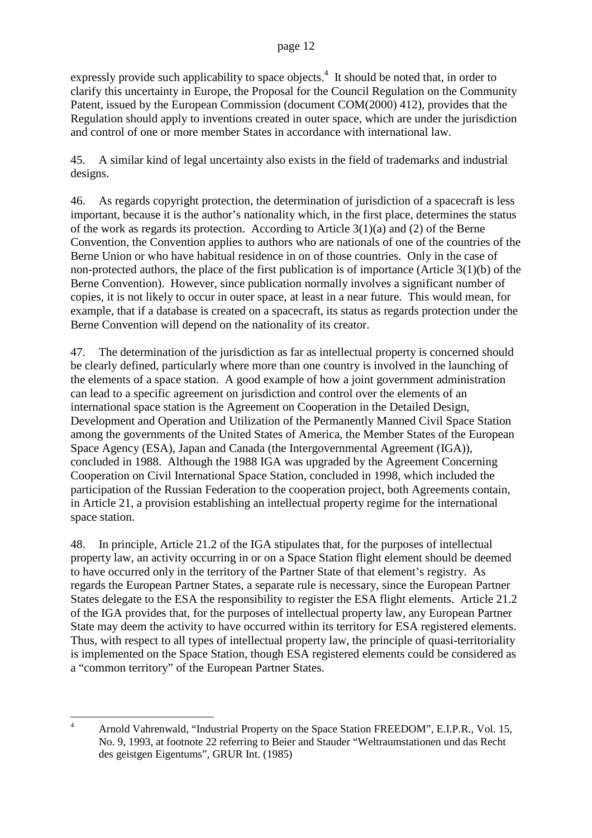expressly provide such applicability to space objects.<sup>4</sup> It should be noted that, in order to clarify this uncertainty in Europe, the Proposal for the Council Regulation on the Community Patent, issued by the European Commission (document COM(2000) 412), provides that the Regulation should apply to inventions created in outer space, which are under the jurisdiction and control of one or more member States in accordance with international law.

45. A similar kind of legal uncertainty also exists in the field of trademarks and industrial designs.

46. As regards copyright protection, the determination of jurisdiction of a spacecraft is less important, because it is the author's nationality which, in the first place, determines the status of the work as regards its protection. According to Article 3(1)(a) and (2) of the Berne Convention, the Convention applies to authors who are nationals of one of the countries of the Berne Union or who have habitual residence in on of those countries. Only in the case of non-protected authors, the place of the first publication is of importance (Article 3(1)(b) of the Berne Convention). However, since publication normally involves a significant number of copies, it is not likely to occur in outer space, at least in a near future. This would mean, for example, that if a database is created on a spacecraft, its status as regards protection under the Berne Convention will depend on the nationality of its creator.

47. The determination of the jurisdiction as far as intellectual property is concerned should be clearly defined, particularly where more than one country is involved in the launching of the elements of a space station. A good example of how a joint government administration can lead to a specific agreement on jurisdiction and control over the elements of an international space station is the Agreement on Cooperation in the Detailed Design, Development and Operation and Utilization of the Permanently Manned Civil Space Station among the governments of the United States of America, the Member States of the European Space Agency (ESA), Japan and Canada (the Intergovernmental Agreement (IGA)), concluded in 1988. Although the 1988 IGA was upgraded by the Agreement Concerning Cooperation on Civil International Space Station, concluded in 1998, which included the participation of the Russian Federation to the cooperation project, both Agreements contain, in Article 21, a provision establishing an intellectual property regime for the international space station.

48. In principle, Article 21.2 of the IGA stipulates that, for the purposes of intellectual property law, an activity occurring in or on a Space Station flight element should be deemed to have occurred only in the territory of the Partner State of that element's registry. As regards the European Partner States, a separate rule is necessary, since the European Partner States delegate to the ESA the responsibility to register the ESA flight elements. Article 21.2 of the IGA provides that, for the purposes of intellectual property law, any European Partner State may deem the activity to have occurred within its territory for ESA registered elements. Thus, with respect to all types of intellectual property law, the principle of quasi-territoriality is implemented on the Space Station, though ESA registered elements could be considered as a "common territory" of the European Partner States.

<sup>&</sup>lt;sup>4</sup> Arnold Vahrenwald, "Industrial Property on the Space Station FREEDOM", E.I.P.R., Vol. 15, No. 9, 1993, at footnote 22 referring to Beier and Stauder "Weltraumstationen und das Recht des geistgen Eigentums", GRUR Int. (1985)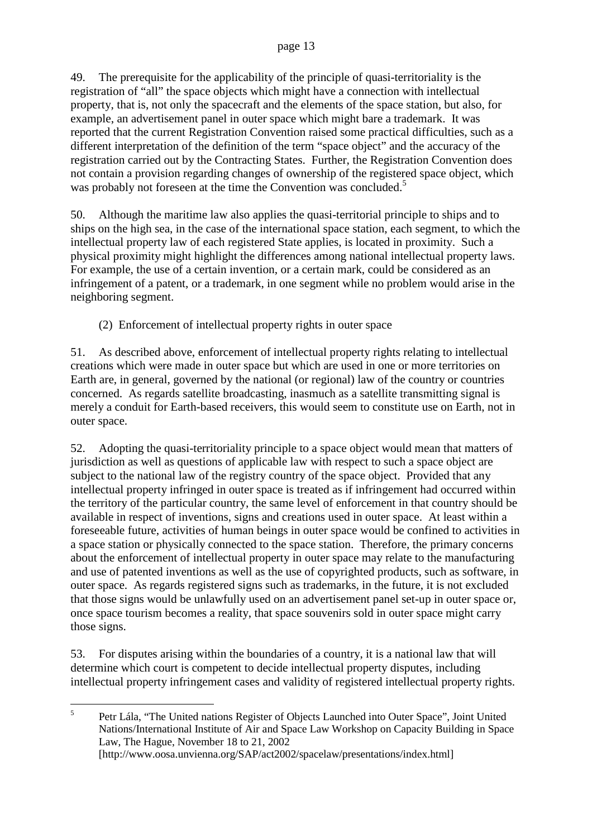49. The prerequisite for the applicability of the principle of quasi-territoriality is the registration of "all" the space objects which might have a connection with intellectual property, that is, not only the spacecraft and the elements of the space station, but also, for example, an advertisement panel in outer space which might bare a trademark. It was reported that the current Registration Convention raised some practical difficulties, such as a different interpretation of the definition of the term "space object" and the accuracy of the registration carried out by the Contracting States. Further, the Registration Convention does not contain a provision regarding changes of ownership of the registered space object, which was probably not foreseen at the time the Convention was concluded.<sup>5</sup>

50. Although the maritime law also applies the quasi-territorial principle to ships and to ships on the high sea, in the case of the international space station, each segment, to which the intellectual property law of each registered State applies, is located in proximity. Such a physical proximity might highlight the differences among national intellectual property laws. For example, the use of a certain invention, or a certain mark, could be considered as an infringement of a patent, or a trademark, in one segment while no problem would arise in the neighboring segment.

(2) Enforcement of intellectual property rights in outer space

51. As described above, enforcement of intellectual property rights relating to intellectual creations which were made in outer space but which are used in one or more territories on Earth are, in general, governed by the national (or regional) law of the country or countries concerned. As regards satellite broadcasting, inasmuch as a satellite transmitting signal is merely a conduit for Earth-based receivers, this would seem to constitute use on Earth, not in outer space.

52. Adopting the quasi-territoriality principle to a space object would mean that matters of jurisdiction as well as questions of applicable law with respect to such a space object are subject to the national law of the registry country of the space object. Provided that any intellectual property infringed in outer space is treated as if infringement had occurred within the territory of the particular country, the same level of enforcement in that country should be available in respect of inventions, signs and creations used in outer space. At least within a foreseeable future, activities of human beings in outer space would be confined to activities in a space station or physically connected to the space station. Therefore, the primary concerns about the enforcement of intellectual property in outer space may relate to the manufacturing and use of patented inventions as well as the use of copyrighted products, such as software, in outer space. As regards registered signs such as trademarks, in the future, it is not excluded that those signs would be unlawfully used on an advertisement panel set-up in outer space or, once space tourism becomes a reality, that space souvenirs sold in outer space might carry those signs.

53. For disputes arising within the boundaries of a country, it is a national law that will determine which court is competent to decide intellectual property disputes, including intellectual property infringement cases and validity of registered intellectual property rights.

<sup>5</sup> Petr Lála, "The United nations Register of Objects Launched into Outer Space", Joint United Nations/International Institute of Air and Space Law Workshop on Capacity Building in Space Law, The Hague, November 18 to 21, 2002 [http://www.oosa.unvienna.org/SAP/act2002/spacelaw/presentations/index.html]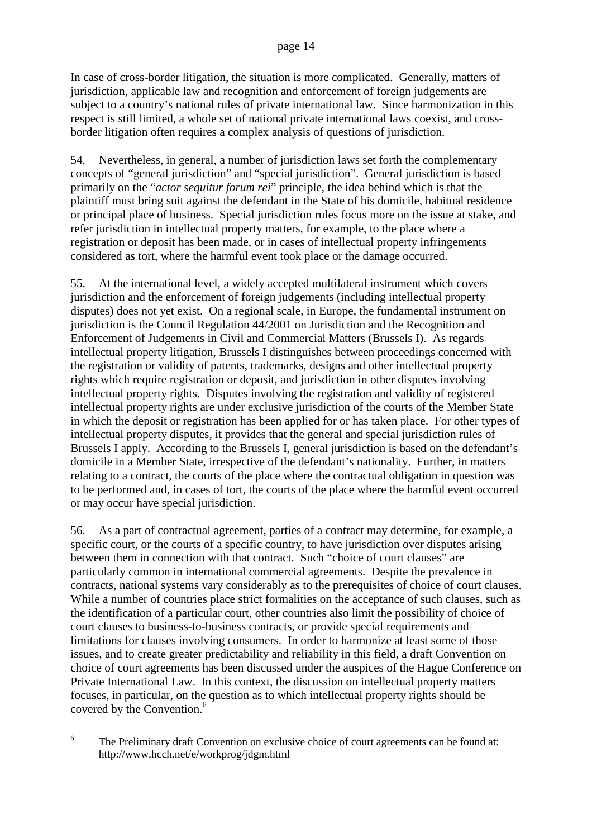In case of cross-border litigation, the situation is more complicated. Generally, matters of jurisdiction, applicable law and recognition and enforcement of foreign judgements are subject to a country's national rules of private international law. Since harmonization in this respect is still limited, a whole set of national private international laws coexist, and crossborder litigation often requires a complex analysis of questions of jurisdiction.

54. Nevertheless, in general, a number of jurisdiction laws set forth the complementary concepts of "general jurisdiction" and "special jurisdiction". General jurisdiction is based primarily on the "*actor sequitur forum rei*" principle, the idea behind which is that the plaintiff must bring suit against the defendant in the State of his domicile, habitual residence or principal place of business. Special jurisdiction rules focus more on the issue at stake, and refer jurisdiction in intellectual property matters, for example, to the place where a registration or deposit has been made, or in cases of intellectual property infringements considered as tort, where the harmful event took place or the damage occurred.

55. At the international level, a widely accepted multilateral instrument which covers jurisdiction and the enforcement of foreign judgements (including intellectual property disputes) does not yet exist. On a regional scale, in Europe, the fundamental instrument on jurisdiction is the Council Regulation 44/2001 on Jurisdiction and the Recognition and Enforcement of Judgements in Civil and Commercial Matters (Brussels I). As regards intellectual property litigation, Brussels I distinguishes between proceedings concerned with the registration or validity of patents, trademarks, designs and other intellectual property rights which require registration or deposit, and jurisdiction in other disputes involving intellectual property rights. Disputes involving the registration and validity of registered intellectual property rights are under exclusive jurisdiction of the courts of the Member State in which the deposit or registration has been applied for or has taken place. For other types of intellectual property disputes, it provides that the general and special jurisdiction rules of Brussels I apply. According to the Brussels I, general jurisdiction is based on the defendant's domicile in a Member State, irrespective of the defendant's nationality. Further, in matters relating to a contract, the courts of the place where the contractual obligation in question was to be performed and, in cases of tort, the courts of the place where the harmful event occurred or may occur have special jurisdiction.

56. As a part of contractual agreement, parties of a contract may determine, for example, a specific court, or the courts of a specific country, to have jurisdiction over disputes arising between them in connection with that contract. Such "choice of court clauses" are particularly common in international commercial agreements. Despite the prevalence in contracts, national systems vary considerably as to the prerequisites of choice of court clauses. While a number of countries place strict formalities on the acceptance of such clauses, such as the identification of a particular court, other countries also limit the possibility of choice of court clauses to business-to-business contracts, or provide special requirements and limitations for clauses involving consumers. In order to harmonize at least some of those issues, and to create greater predictability and reliability in this field, a draft Convention on choice of court agreements has been discussed under the auspices of the Hague Conference on Private International Law. In this context, the discussion on intellectual property matters focuses, in particular, on the question as to which intellectual property rights should be covered by the Convention.<sup>6</sup>

<sup>&</sup>lt;sup>6</sup> The Preliminary draft Convention on exclusive choice of court agreements can be found at: http://www.hcch.net/e/workprog/jdgm.html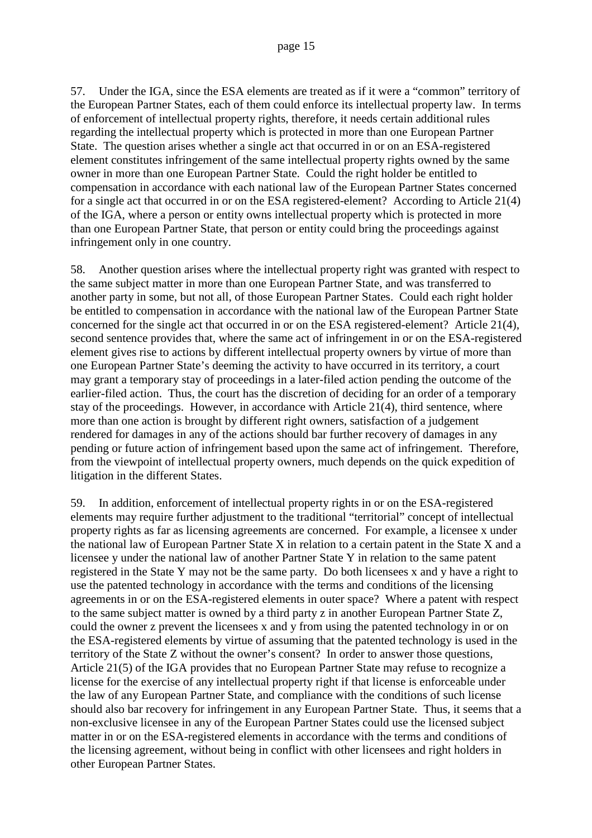57. Under the IGA, since the ESA elements are treated as if it were a "common" territory of the European Partner States, each of them could enforce its intellectual property law. In terms of enforcement of intellectual property rights, therefore, it needs certain additional rules regarding the intellectual property which is protected in more than one European Partner State. The question arises whether a single act that occurred in or on an ESA-registered element constitutes infringement of the same intellectual property rights owned by the same owner in more than one European Partner State. Could the right holder be entitled to compensation in accordance with each national law of the European Partner States concerned for a single act that occurred in or on the ESA registered-element? According to Article 21(4) of the IGA, where a person or entity owns intellectual property which is protected in more than one European Partner State, that person or entity could bring the proceedings against infringement only in one country.

58. Another question arises where the intellectual property right was granted with respect to the same subject matter in more than one European Partner State, and was transferred to another party in some, but not all, of those European Partner States. Could each right holder be entitled to compensation in accordance with the national law of the European Partner State concerned for the single act that occurred in or on the ESA registered-element? Article 21(4), second sentence provides that, where the same act of infringement in or on the ESA-registered element gives rise to actions by different intellectual property owners by virtue of more than one European Partner State's deeming the activity to have occurred in its territory, a court may grant a temporary stay of proceedings in a later-filed action pending the outcome of the earlier-filed action. Thus, the court has the discretion of deciding for an order of a temporary stay of the proceedings. However, in accordance with Article 21(4), third sentence, where more than one action is brought by different right owners, satisfaction of a judgement rendered for damages in any of the actions should bar further recovery of damages in any pending or future action of infringement based upon the same act of infringement. Therefore, from the viewpoint of intellectual property owners, much depends on the quick expedition of litigation in the different States.

59. In addition, enforcement of intellectual property rights in or on the ESA-registered elements may require further adjustment to the traditional "territorial" concept of intellectual property rights as far as licensing agreements are concerned. For example, a licensee x under the national law of European Partner State X in relation to a certain patent in the State X and a licensee y under the national law of another Partner State Y in relation to the same patent registered in the State Y may not be the same party. Do both licensees x and y have a right to use the patented technology in accordance with the terms and conditions of the licensing agreements in or on the ESA-registered elements in outer space? Where a patent with respect to the same subject matter is owned by a third party z in another European Partner State Z, could the owner z prevent the licensees x and y from using the patented technology in or on the ESA-registered elements by virtue of assuming that the patented technology is used in the territory of the State Z without the owner's consent? In order to answer those questions, Article 21(5) of the IGA provides that no European Partner State may refuse to recognize a license for the exercise of any intellectual property right if that license is enforceable under the law of any European Partner State, and compliance with the conditions of such license should also bar recovery for infringement in any European Partner State. Thus, it seems that a non-exclusive licensee in any of the European Partner States could use the licensed subject matter in or on the ESA-registered elements in accordance with the terms and conditions of the licensing agreement, without being in conflict with other licensees and right holders in other European Partner States.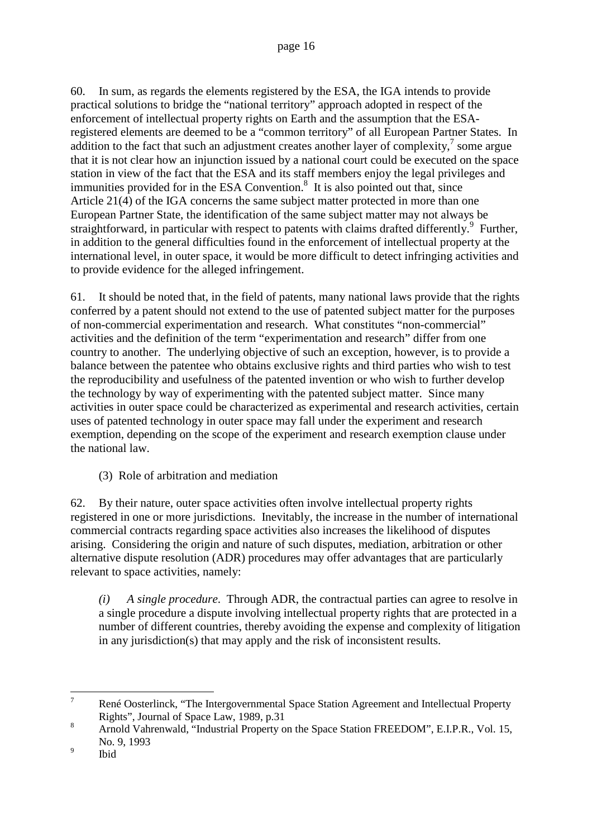60. In sum, as regards the elements registered by the ESA, the IGA intends to provide practical solutions to bridge the "national territory" approach adopted in respect of the enforcement of intellectual property rights on Earth and the assumption that the ESAregistered elements are deemed to be a "common territory" of all European Partner States. In addition to the fact that such an adjustment creates another layer of complexity, $\frac{7}{1}$  some argue that it is not clear how an injunction issued by a national court could be executed on the space station in view of the fact that the ESA and its staff members enjoy the legal privileges and immunities provided for in the ESA Convention.<sup>8</sup> It is also pointed out that, since Article 21(4) of the IGA concerns the same subject matter protected in more than one European Partner State, the identification of the same subject matter may not always be straightforward, in particular with respect to patents with claims drafted differently.<sup>9</sup> Further, in addition to the general difficulties found in the enforcement of intellectual property at the international level, in outer space, it would be more difficult to detect infringing activities and to provide evidence for the alleged infringement.

61. It should be noted that, in the field of patents, many national laws provide that the rights conferred by a patent should not extend to the use of patented subject matter for the purposes of non-commercial experimentation and research. What constitutes "non-commercial" activities and the definition of the term "experimentation and research" differ from one country to another. The underlying objective of such an exception, however, is to provide a balance between the patentee who obtains exclusive rights and third parties who wish to test the reproducibility and usefulness of the patented invention or who wish to further develop the technology by way of experimenting with the patented subject matter. Since many activities in outer space could be characterized as experimental and research activities, certain uses of patented technology in outer space may fall under the experiment and research exemption, depending on the scope of the experiment and research exemption clause under the national law.

(3) Role of arbitration and mediation

62. By their nature, outer space activities often involve intellectual property rights registered in one or more jurisdictions. Inevitably, the increase in the number of international commercial contracts regarding space activities also increases the likelihood of disputes arising. Considering the origin and nature of such disputes, mediation, arbitration or other alternative dispute resolution (ADR) procedures may offer advantages that are particularly relevant to space activities, namely:

*(i) A single procedure*. Through ADR, the contractual parties can agree to resolve in a single procedure a dispute involving intellectual property rights that are protected in a number of different countries, thereby avoiding the expense and complexity of litigation in any jurisdiction(s) that may apply and the risk of inconsistent results.

<sup>&</sup>lt;sup>7</sup> René Oosterlinck, "The Intergovernmental Space Station Agreement and Intellectual Property Rights", Journal of Space Law, 1989, p.31

<sup>&</sup>lt;sup>8</sup> Arnold Vahrenwald, "Industrial Property on the Space Station FREEDOM", E.I.P.R., Vol. 15, No. 9, 1993

<sup>&</sup>lt;sup>9</sup> Ibid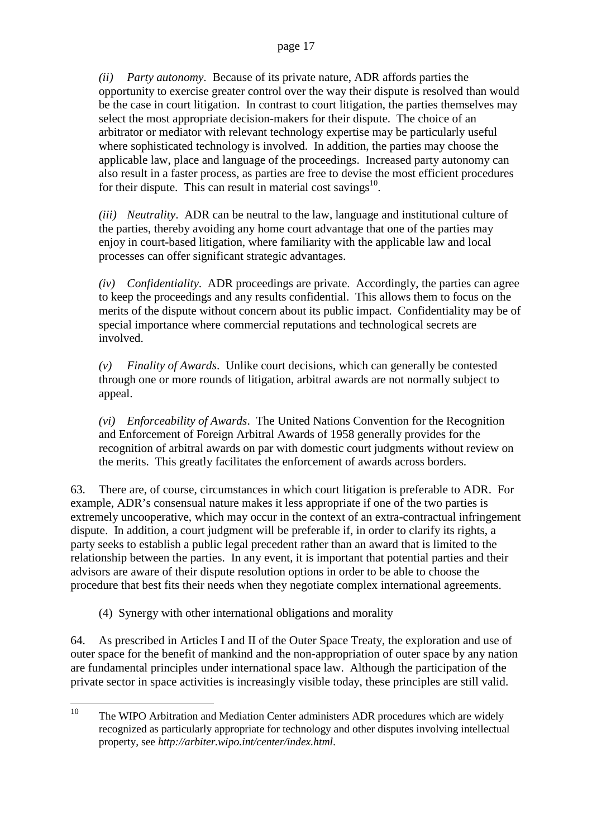*(ii) Party autonomy*. Because of its private nature, ADR affords parties the opportunity to exercise greater control over the way their dispute is resolved than would be the case in court litigation. In contrast to court litigation, the parties themselves may select the most appropriate decision-makers for their dispute. The choice of an arbitrator or mediator with relevant technology expertise may be particularly useful where sophisticated technology is involved. In addition, the parties may choose the applicable law, place and language of the proceedings. Increased party autonomy can also result in a faster process, as parties are free to devise the most efficient procedures for their dispute. This can result in material cost savings<sup>10</sup>.

*(iii) Neutrality*. ADR can be neutral to the law, language and institutional culture of the parties, thereby avoiding any home court advantage that one of the parties may enjoy in court-based litigation, where familiarity with the applicable law and local processes can offer significant strategic advantages.

*(iv) Confidentiality*. ADR proceedings are private. Accordingly, the parties can agree to keep the proceedings and any results confidential. This allows them to focus on the merits of the dispute without concern about its public impact. Confidentiality may be of special importance where commercial reputations and technological secrets are involved.

*(v) Finality of Awards*. Unlike court decisions, which can generally be contested through one or more rounds of litigation, arbitral awards are not normally subject to appeal.

*(vi) Enforceability of Awards*. The United Nations Convention for the Recognition and Enforcement of Foreign Arbitral Awards of 1958 generally provides for the recognition of arbitral awards on par with domestic court judgments without review on the merits. This greatly facilitates the enforcement of awards across borders.

63. There are, of course, circumstances in which court litigation is preferable to ADR. For example, ADR's consensual nature makes it less appropriate if one of the two parties is extremely uncooperative, which may occur in the context of an extra-contractual infringement dispute. In addition, a court judgment will be preferable if, in order to clarify its rights, a party seeks to establish a public legal precedent rather than an award that is limited to the relationship between the parties. In any event, it is important that potential parties and their advisors are aware of their dispute resolution options in order to be able to choose the procedure that best fits their needs when they negotiate complex international agreements.

(4) Synergy with other international obligations and morality

64. As prescribed in Articles I and II of the Outer Space Treaty, the exploration and use of outer space for the benefit of mankind and the non-appropriation of outer space by any nation are fundamental principles under international space law. Although the participation of the private sector in space activities is increasingly visible today, these principles are still valid.

<sup>&</sup>lt;sup>10</sup> The WIPO Arbitration and Mediation Center administers ADR procedures which are widely recognized as particularly appropriate for technology and other disputes involving intellectual property, see *http://arbiter.wipo.int/center/index.html*.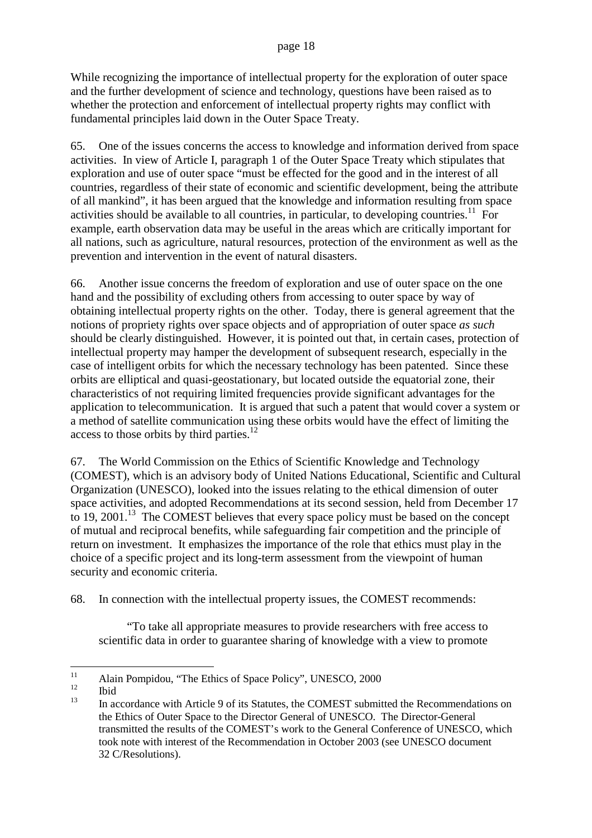While recognizing the importance of intellectual property for the exploration of outer space and the further development of science and technology, questions have been raised as to whether the protection and enforcement of intellectual property rights may conflict with fundamental principles laid down in the Outer Space Treaty.

65. One of the issues concerns the access to knowledge and information derived from space activities. In view of Article I, paragraph 1 of the Outer Space Treaty which stipulates that exploration and use of outer space "must be effected for the good and in the interest of all countries, regardless of their state of economic and scientific development, being the attribute of all mankind", it has been argued that the knowledge and information resulting from space activities should be available to all countries, in particular, to developing countries.<sup>11</sup> For example, earth observation data may be useful in the areas which are critically important for all nations, such as agriculture, natural resources, protection of the environment as well as the prevention and intervention in the event of natural disasters.

66. Another issue concerns the freedom of exploration and use of outer space on the one hand and the possibility of excluding others from accessing to outer space by way of obtaining intellectual property rights on the other. Today, there is general agreement that the notions of propriety rights over space objects and of appropriation of outer space *as such* should be clearly distinguished. However, it is pointed out that, in certain cases, protection of intellectual property may hamper the development of subsequent research, especially in the case of intelligent orbits for which the necessary technology has been patented. Since these orbits are elliptical and quasi-geostationary, but located outside the equatorial zone, their characteristics of not requiring limited frequencies provide significant advantages for the application to telecommunication. It is argued that such a patent that would cover a system or a method of satellite communication using these orbits would have the effect of limiting the access to those orbits by third parties.<sup>12</sup>

67. The World Commission on the Ethics of Scientific Knowledge and Technology (COMEST), which is an advisory body of United Nations Educational, Scientific and Cultural Organization (UNESCO), looked into the issues relating to the ethical dimension of outer space activities, and adopted Recommendations at its second session, held from December 17 to 19. 2001.<sup>13</sup> The COMEST believes that every space policy must be based on the concept of mutual and reciprocal benefits, while safeguarding fair competition and the principle of return on investment. It emphasizes the importance of the role that ethics must play in the choice of a specific project and its long-term assessment from the viewpoint of human security and economic criteria.

68. In connection with the intellectual property issues, the COMEST recommends:

"To take all appropriate measures to provide researchers with free access to scientific data in order to guarantee sharing of knowledge with a view to promote

 $11$  Alain Pompidou, "The Ethics of Space Policy", UNESCO, 2000

 $\frac{12}{13}$  Ibid

In accordance with Article 9 of its Statutes, the COMEST submitted the Recommendations on the Ethics of Outer Space to the Director General of UNESCO. The Director-General transmitted the results of the COMEST's work to the General Conference of UNESCO, which took note with interest of the Recommendation in October 2003 (see UNESCO document 32 C/Resolutions).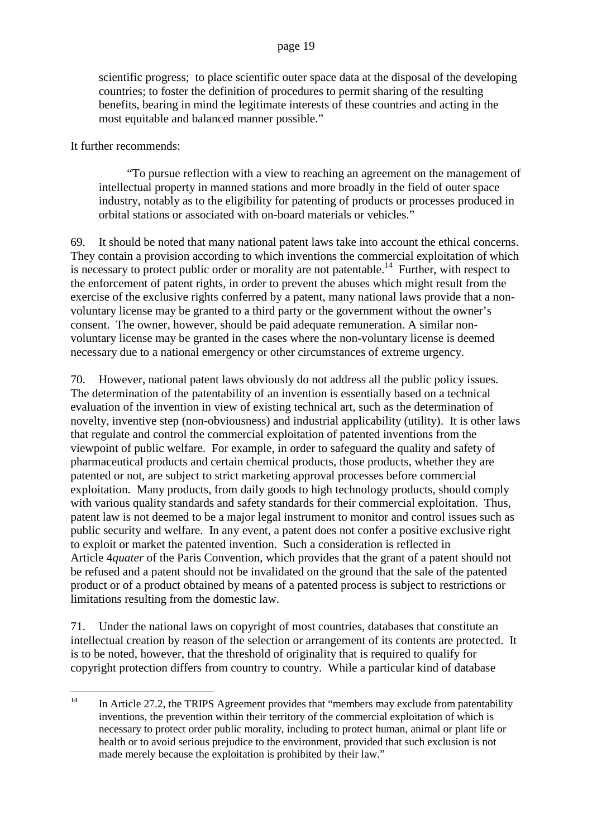scientific progress; to place scientific outer space data at the disposal of the developing countries; to foster the definition of procedures to permit sharing of the resulting benefits, bearing in mind the legitimate interests of these countries and acting in the most equitable and balanced manner possible."

It further recommends:

"To pursue reflection with a view to reaching an agreement on the management of intellectual property in manned stations and more broadly in the field of outer space industry, notably as to the eligibility for patenting of products or processes produced in orbital stations or associated with on-board materials or vehicles."

69. It should be noted that many national patent laws take into account the ethical concerns. They contain a provision according to which inventions the commercial exploitation of which is necessary to protect public order or morality are not patentable.<sup>14</sup> Further, with respect to the enforcement of patent rights, in order to prevent the abuses which might result from the exercise of the exclusive rights conferred by a patent, many national laws provide that a nonvoluntary license may be granted to a third party or the government without the owner's consent. The owner, however, should be paid adequate remuneration. A similar nonvoluntary license may be granted in the cases where the non-voluntary license is deemed necessary due to a national emergency or other circumstances of extreme urgency.

70. However, national patent laws obviously do not address all the public policy issues. The determination of the patentability of an invention is essentially based on a technical evaluation of the invention in view of existing technical art, such as the determination of novelty, inventive step (non-obviousness) and industrial applicability (utility). It is other laws that regulate and control the commercial exploitation of patented inventions from the viewpoint of public welfare. For example, in order to safeguard the quality and safety of pharmaceutical products and certain chemical products, those products, whether they are patented or not, are subject to strict marketing approval processes before commercial exploitation. Many products, from daily goods to high technology products, should comply with various quality standards and safety standards for their commercial exploitation. Thus, patent law is not deemed to be a major legal instrument to monitor and control issues such as public security and welfare. In any event, a patent does not confer a positive exclusive right to exploit or market the patented invention. Such a consideration is reflected in Article 4*quater* of the Paris Convention, which provides that the grant of a patent should not be refused and a patent should not be invalidated on the ground that the sale of the patented product or of a product obtained by means of a patented process is subject to restrictions or limitations resulting from the domestic law.

71. Under the national laws on copyright of most countries, databases that constitute an intellectual creation by reason of the selection or arrangement of its contents are protected. It is to be noted, however, that the threshold of originality that is required to qualify for copyright protection differs from country to country. While a particular kind of database

 $14$  In Article 27.2, the TRIPS Agreement provides that "members may exclude from patentability inventions, the prevention within their territory of the commercial exploitation of which is necessary to protect order public morality, including to protect human, animal or plant life or health or to avoid serious prejudice to the environment, provided that such exclusion is not made merely because the exploitation is prohibited by their law."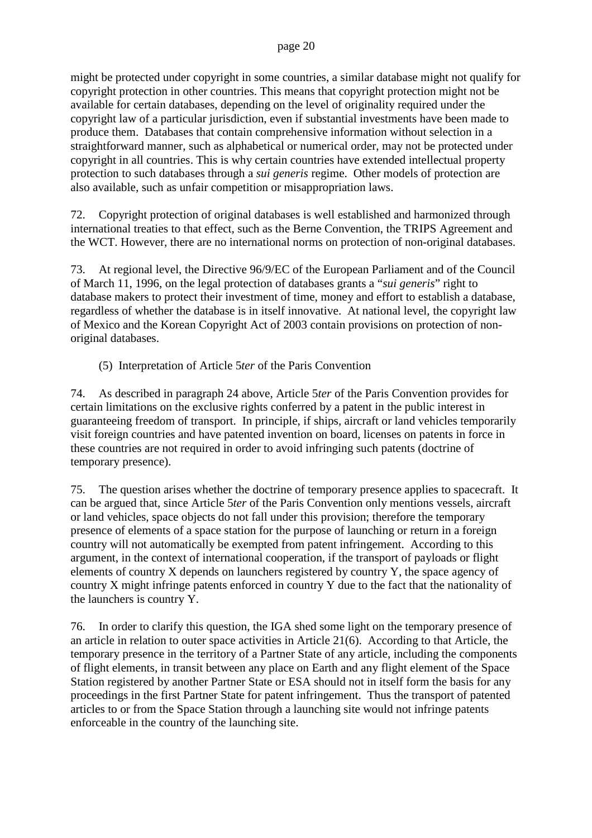might be protected under copyright in some countries, a similar database might not qualify for copyright protection in other countries. This means that copyright protection might not be available for certain databases, depending on the level of originality required under the copyright law of a particular jurisdiction, even if substantial investments have been made to produce them. Databases that contain comprehensive information without selection in a straightforward manner, such as alphabetical or numerical order, may not be protected under copyright in all countries. This is why certain countries have extended intellectual property protection to such databases through a *sui generis* regime. Other models of protection are also available, such as unfair competition or misappropriation laws.

72. Copyright protection of original databases is well established and harmonized through international treaties to that effect, such as the Berne Convention, the TRIPS Agreement and the WCT. However, there are no international norms on protection of non-original databases.

73. At regional level, the Directive 96/9/EC of the European Parliament and of the Council of March 11, 1996, on the legal protection of databases grants a "*sui generis*" right to database makers to protect their investment of time, money and effort to establish a database, regardless of whether the database is in itself innovative. At national level, the copyright law of Mexico and the Korean Copyright Act of 2003 contain provisions on protection of nonoriginal databases.

(5) Interpretation of Article 5*ter* of the Paris Convention

74. As described in paragraph 24 above, Article 5*ter* of the Paris Convention provides for certain limitations on the exclusive rights conferred by a patent in the public interest in guaranteeing freedom of transport. In principle, if ships, aircraft or land vehicles temporarily visit foreign countries and have patented invention on board, licenses on patents in force in these countries are not required in order to avoid infringing such patents (doctrine of temporary presence).

75. The question arises whether the doctrine of temporary presence applies to spacecraft. It can be argued that, since Article 5*ter* of the Paris Convention only mentions vessels, aircraft or land vehicles, space objects do not fall under this provision; therefore the temporary presence of elements of a space station for the purpose of launching or return in a foreign country will not automatically be exempted from patent infringement. According to this argument, in the context of international cooperation, if the transport of payloads or flight elements of country X depends on launchers registered by country Y, the space agency of country X might infringe patents enforced in country Y due to the fact that the nationality of the launchers is country Y.

76. In order to clarify this question, the IGA shed some light on the temporary presence of an article in relation to outer space activities in Article 21(6). According to that Article, the temporary presence in the territory of a Partner State of any article, including the components of flight elements, in transit between any place on Earth and any flight element of the Space Station registered by another Partner State or ESA should not in itself form the basis for any proceedings in the first Partner State for patent infringement. Thus the transport of patented articles to or from the Space Station through a launching site would not infringe patents enforceable in the country of the launching site.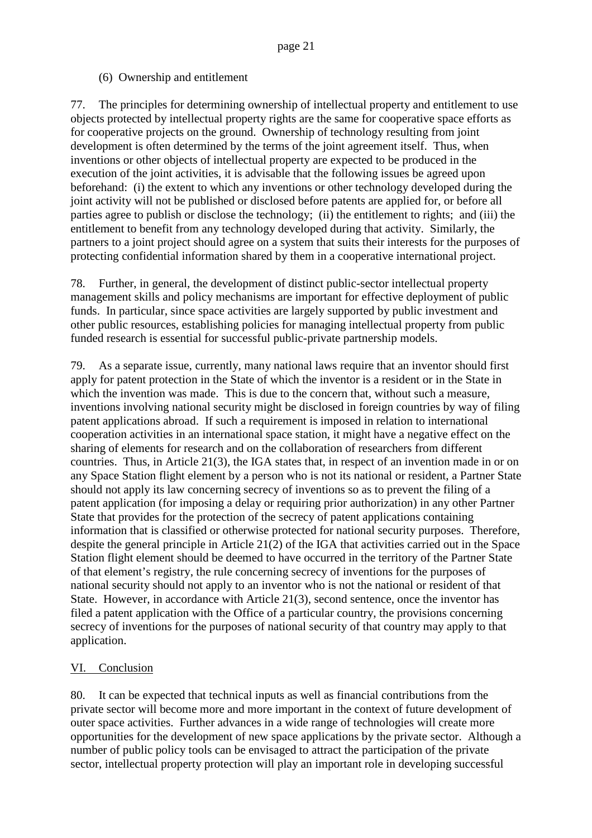(6) Ownership and entitlement

77. The principles for determining ownership of intellectual property and entitlement to use objects protected by intellectual property rights are the same for cooperative space efforts as for cooperative projects on the ground. Ownership of technology resulting from joint development is often determined by the terms of the joint agreement itself. Thus, when inventions or other objects of intellectual property are expected to be produced in the execution of the joint activities, it is advisable that the following issues be agreed upon beforehand: (i) the extent to which any inventions or other technology developed during the joint activity will not be published or disclosed before patents are applied for, or before all parties agree to publish or disclose the technology; (ii) the entitlement to rights; and (iii) the entitlement to benefit from any technology developed during that activity. Similarly, the partners to a joint project should agree on a system that suits their interests for the purposes of protecting confidential information shared by them in a cooperative international project.

78. Further, in general, the development of distinct public-sector intellectual property management skills and policy mechanisms are important for effective deployment of public funds. In particular, since space activities are largely supported by public investment and other public resources, establishing policies for managing intellectual property from public funded research is essential for successful public-private partnership models.

79. As a separate issue, currently, many national laws require that an inventor should first apply for patent protection in the State of which the inventor is a resident or in the State in which the invention was made. This is due to the concern that, without such a measure, inventions involving national security might be disclosed in foreign countries by way of filing patent applications abroad. If such a requirement is imposed in relation to international cooperation activities in an international space station, it might have a negative effect on the sharing of elements for research and on the collaboration of researchers from different countries. Thus, in Article 21(3), the IGA states that, in respect of an invention made in or on any Space Station flight element by a person who is not its national or resident, a Partner State should not apply its law concerning secrecy of inventions so as to prevent the filing of a patent application (for imposing a delay or requiring prior authorization) in any other Partner State that provides for the protection of the secrecy of patent applications containing information that is classified or otherwise protected for national security purposes. Therefore, despite the general principle in Article 21(2) of the IGA that activities carried out in the Space Station flight element should be deemed to have occurred in the territory of the Partner State of that element's registry, the rule concerning secrecy of inventions for the purposes of national security should not apply to an inventor who is not the national or resident of that State. However, in accordance with Article 21(3), second sentence, once the inventor has filed a patent application with the Office of a particular country, the provisions concerning secrecy of inventions for the purposes of national security of that country may apply to that application.

# VI. Conclusion

80. It can be expected that technical inputs as well as financial contributions from the private sector will become more and more important in the context of future development of outer space activities. Further advances in a wide range of technologies will create more opportunities for the development of new space applications by the private sector. Although a number of public policy tools can be envisaged to attract the participation of the private sector, intellectual property protection will play an important role in developing successful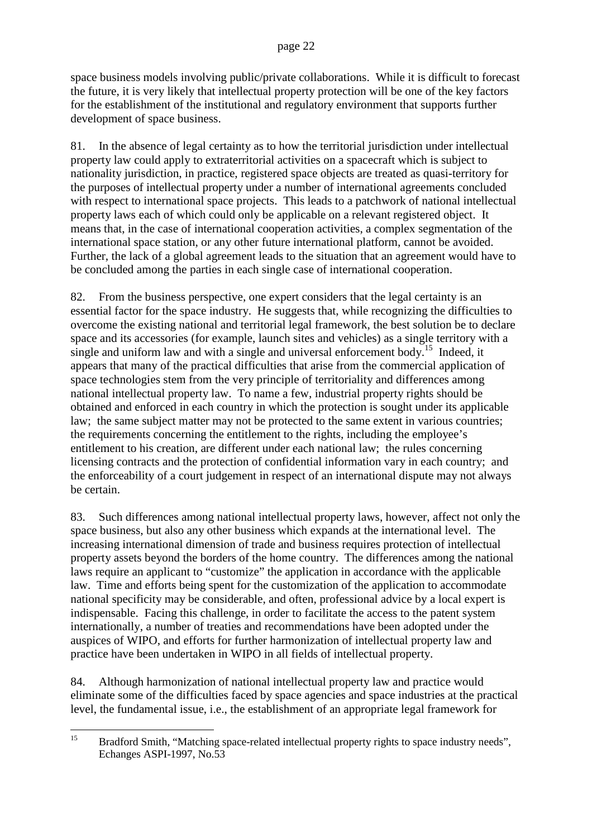space business models involving public/private collaborations. While it is difficult to forecast the future, it is very likely that intellectual property protection will be one of the key factors for the establishment of the institutional and regulatory environment that supports further development of space business.

81. In the absence of legal certainty as to how the territorial jurisdiction under intellectual property law could apply to extraterritorial activities on a spacecraft which is subject to nationality jurisdiction, in practice, registered space objects are treated as quasi-territory for the purposes of intellectual property under a number of international agreements concluded with respect to international space projects. This leads to a patchwork of national intellectual property laws each of which could only be applicable on a relevant registered object. It means that, in the case of international cooperation activities, a complex segmentation of the international space station, or any other future international platform, cannot be avoided. Further, the lack of a global agreement leads to the situation that an agreement would have to be concluded among the parties in each single case of international cooperation.

82. From the business perspective, one expert considers that the legal certainty is an essential factor for the space industry. He suggests that, while recognizing the difficulties to overcome the existing national and territorial legal framework, the best solution be to declare space and its accessories (for example, launch sites and vehicles) as a single territory with a single and uniform law and with a single and universal enforcement body.<sup>15</sup> Indeed, it appears that many of the practical difficulties that arise from the commercial application of space technologies stem from the very principle of territoriality and differences among national intellectual property law. To name a few, industrial property rights should be obtained and enforced in each country in which the protection is sought under its applicable law; the same subject matter may not be protected to the same extent in various countries; the requirements concerning the entitlement to the rights, including the employee's entitlement to his creation, are different under each national law; the rules concerning licensing contracts and the protection of confidential information vary in each country; and the enforceability of a court judgement in respect of an international dispute may not always be certain.

83. Such differences among national intellectual property laws, however, affect not only the space business, but also any other business which expands at the international level. The increasing international dimension of trade and business requires protection of intellectual property assets beyond the borders of the home country. The differences among the national laws require an applicant to "customize" the application in accordance with the applicable law. Time and efforts being spent for the customization of the application to accommodate national specificity may be considerable, and often, professional advice by a local expert is indispensable. Facing this challenge, in order to facilitate the access to the patent system internationally, a number of treaties and recommendations have been adopted under the auspices of WIPO, and efforts for further harmonization of intellectual property law and practice have been undertaken in WIPO in all fields of intellectual property.

84. Although harmonization of national intellectual property law and practice would eliminate some of the difficulties faced by space agencies and space industries at the practical level, the fundamental issue, i.e., the establishment of an appropriate legal framework for

<sup>&</sup>lt;sup>15</sup> Bradford Smith, "Matching space-related intellectual property rights to space industry needs", Echanges ASPI-1997, No.53